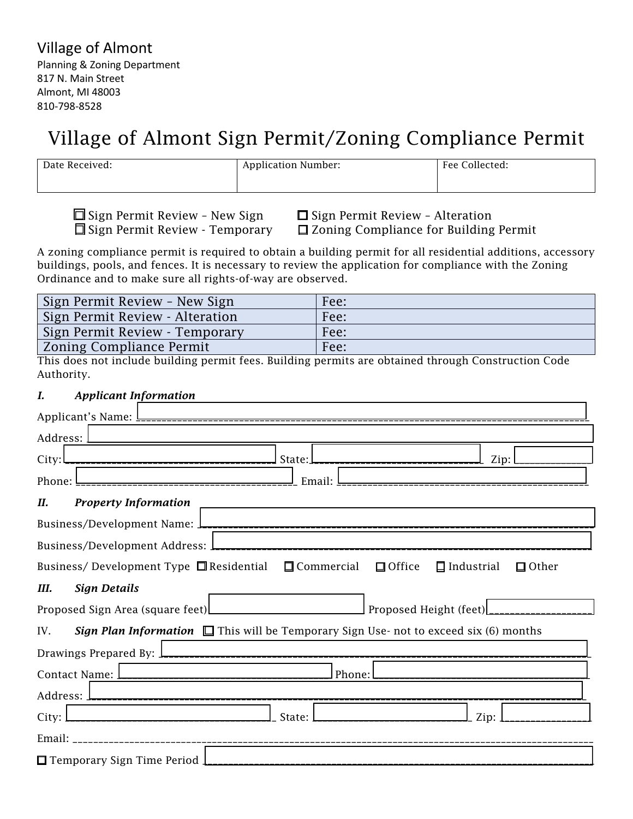# Village of Almont Sign Permit/Zoning Compliance Permit

| Date Received: | <b>Application Number:</b> | Fee Collected: |
|----------------|----------------------------|----------------|
|                |                            |                |

 $\square$  Sign Permit Review - New Sign  $\square$  Sign Permit Review - Alteration  $\square$  Sign Permit Review - Temporary  $\square$  Zoning Compliance for Building

 $\Box$  Zoning Compliance for Building Permit

A zoning compliance permit is required to obtain a building permit for all residential additions, accessory buildings, pools, and fences. It is necessary to review the application for compliance with the Zoning Ordinance and to make sure all rights-of-way are observed.

| Sign Permit Review - New Sign   | Fee: |
|---------------------------------|------|
| Sign Permit Review - Alteration | Fee: |
| Sign Permit Review - Temporary  | Fee: |
| <b>Zoning Compliance Permit</b> | Fee: |

This does not include building permit fees. Building permits are obtained through Construction Code Authority.

## *I. Applicant Information*

| <u>.</u> Email: <u>L</u><br>Phone: I                                                                                                                                                                                                     |
|------------------------------------------------------------------------------------------------------------------------------------------------------------------------------------------------------------------------------------------|
| П.<br><b>Property Information</b>                                                                                                                                                                                                        |
|                                                                                                                                                                                                                                          |
|                                                                                                                                                                                                                                          |
| Business/Development Type $\Box$ Residential $\Box$ Commercial $\Box$ Office $\Box$ Industrial<br>$\Box$ Other                                                                                                                           |
| Ш.<br><b>Sign Details</b>                                                                                                                                                                                                                |
|                                                                                                                                                                                                                                          |
| <b>Sign Plan Information</b> $\Box$ This will be Temporary Sign Use- not to exceed six (6) months<br>IV.                                                                                                                                 |
| Drawings Prepared By: $\frac{1}{2}$ <b>Lease Contract Contract Contract Contract Contract Contract Contract Contract Contract Contract Contract Contract Contract Contract Contract Contract Contract Contract Contract Contract Con</b> |
| Phone: l                                                                                                                                                                                                                                 |
|                                                                                                                                                                                                                                          |
|                                                                                                                                                                                                                                          |
| City: <u>Lessengenesses</u> and the settlement of the state: 1<br>___________________________________<br>Zip:                                                                                                                            |
|                                                                                                                                                                                                                                          |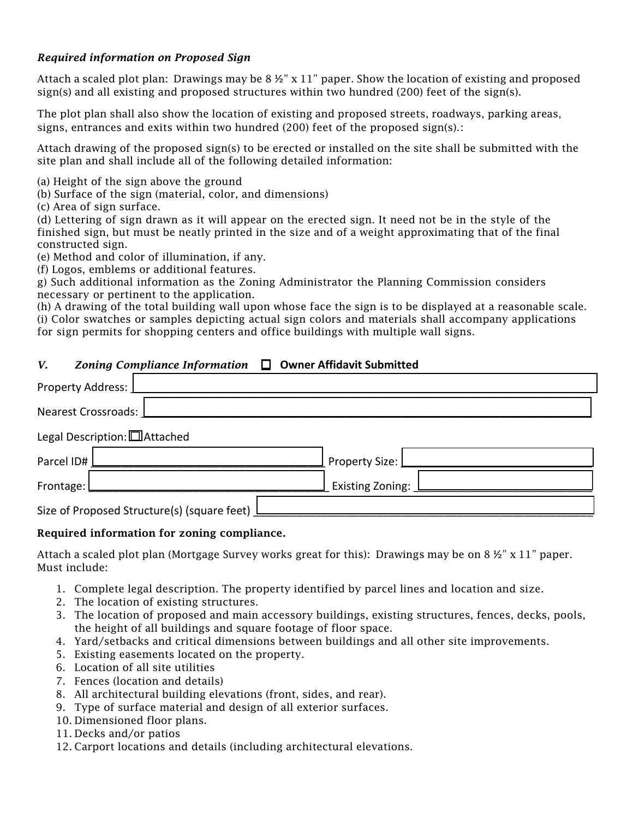### *Required information on Proposed Sign*

Attach a scaled plot plan: Drawings may be 8 ½" x 11" paper. Show the location of existing and proposed sign(s) and all existing and proposed structures within two hundred (200) feet of the sign(s).

The plot plan shall also show the location of existing and proposed streets, roadways, parking areas, signs, entrances and exits within two hundred  $(200)$  feet of the proposed sign(s).:

Attach drawing of the proposed sign(s) to be erected or installed on the site shall be submitted with the site plan and shall include all of the following detailed information:

(a) Height of the sign above the ground

(b) Surface of the sign (material, color, and dimensions)

(c) Area of sign surface.

(d) Lettering of sign drawn as it will appear on the erected sign. It need not be in the style of the finished sign, but must be neatly printed in the size and of a weight approximating that of the final constructed sign.

(e) Method and color of illumination, if any.

(f) Logos, emblems or additional features.

g) Such additional information as the Zoning Administrator the Planning Commission considers necessary or pertinent to the application.

(h) A drawing of the total building wall upon whose face the sign is to be displayed at a reasonable scale. (i) Color swatches or samples depicting actual sign colors and materials shall accompany applications for sign permits for shopping centers and office buildings with multiple wall signs.

### *V. Zoning Compliance Information* **□ Owner Affidavit Submitted**

| Property Address: [                           |                    |
|-----------------------------------------------|--------------------|
| Nearest Crossroads:                           |                    |
| Legal Description: [ Attached                 |                    |
| Parcel ID#                                    | Property Size: [   |
| Frontage: [                                   | Existing Zoning: L |
| Size of Proposed Structure(s) (square feet) L |                    |

#### Required information for zoning compliance.

Attach a scaled plot plan (Mortgage Survey works great for this): Drawings may be on  $8 \frac{1}{2}$ " x 11" paper. Must include:

- 1. Complete legal description. The property identified by parcel lines and location and size.
- 2. The location of existing structures.
- 3. The location of proposed and main accessory buildings, existing structures, fences, decks, pools, the height of all buildings and square footage of floor space.
- 4. Yard/setbacks and critical dimensions between buildings and all other site improvements.
- 5. Existing easements located on the property.
- 6. Location of all site utilities
- 7. Fences (location and details)
- 8. All architectural building elevations (front, sides, and rear).
- 9. Type of surface material and design of all exterior surfaces.
- 10. Dimensioned floor plans.
- 11. Decks and/or patios
- 12. Carport locations and details (including architectural elevations.